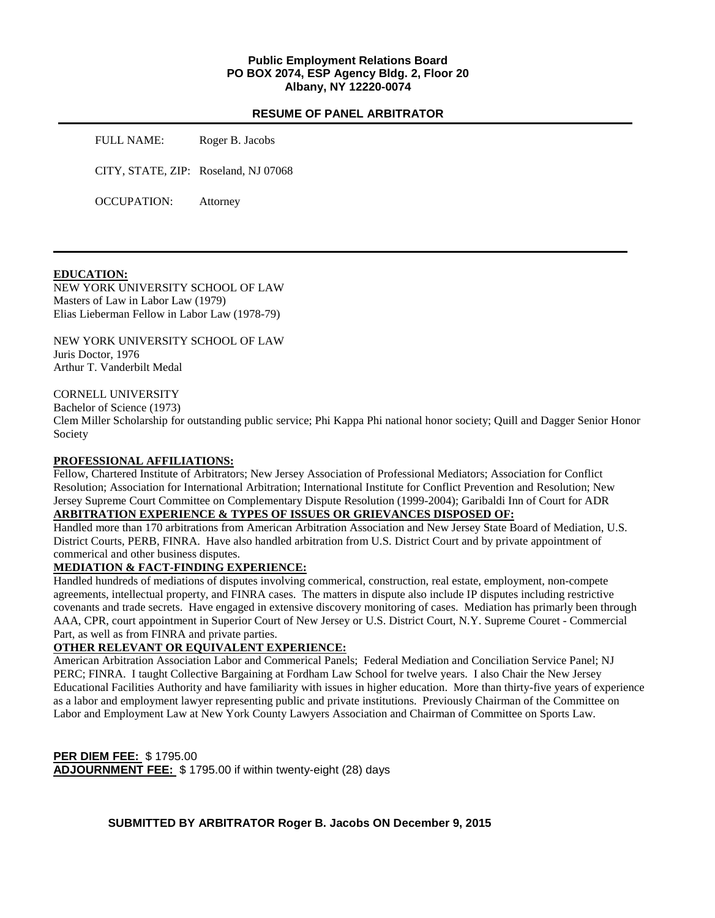## **Public Employment Relations Board PO BOX 2074, ESP Agency Bldg. 2, Floor 20 Albany, NY 12220-0074**

#### **RESUME OF PANEL ARBITRATOR**

FULL NAME: Roger B. Jacobs CITY, STATE, ZIP: Roseland, NJ 07068 OCCUPATION: Attorney

### **EDUCATION:**

NEW YORK UNIVERSITY SCHOOL OF LAW Masters of Law in Labor Law (1979) Elias Lieberman Fellow in Labor Law (1978-79)

NEW YORK UNIVERSITY SCHOOL OF LAW Juris Doctor, 1976 Arthur T. Vanderbilt Medal

#### CORNELL UNIVERSITY

Bachelor of Science (1973)

Clem Miller Scholarship for outstanding public service; Phi Kappa Phi national honor society; Quill and Dagger Senior Honor Society

#### **PROFESSIONAL AFFILIATIONS:**

Fellow, Chartered Institute of Arbitrators; New Jersey Association of Professional Mediators; Association for Conflict Resolution; Association for International Arbitration; International Institute for Conflict Prevention and Resolution; New Jersey Supreme Court Committee on Complementary Dispute Resolution (1999-2004); Garibaldi Inn of Court for ADR

## **ARBITRATION EXPERIENCE & TYPES OF ISSUES OR GRIEVANCES DISPOSED OF:**

Handled more than 170 arbitrations from American Arbitration Association and New Jersey State Board of Mediation, U.S. District Courts, PERB, FINRA. Have also handled arbitration from U.S. District Court and by private appointment of commerical and other business disputes.

## **MEDIATION & FACT-FINDING EXPERIENCE:**

Handled hundreds of mediations of disputes involving commerical, construction, real estate, employment, non-compete agreements, intellectual property, and FINRA cases. The matters in dispute also include IP disputes including restrictive covenants and trade secrets. Have engaged in extensive discovery monitoring of cases. Mediation has primarly been through AAA, CPR, court appointment in Superior Court of New Jersey or U.S. District Court, N.Y. Supreme Couret - Commercial Part, as well as from FINRA and private parties.

#### **OTHER RELEVANT OR EQUIVALENT EXPERIENCE:**

American Arbitration Association Labor and Commerical Panels; Federal Mediation and Conciliation Service Panel; NJ PERC; FINRA. I taught Collective Bargaining at Fordham Law School for twelve years. I also Chair the New Jersey Educational Facilities Authority and have familiarity with issues in higher education. More than thirty-five years of experience as a labor and employment lawyer representing public and private institutions. Previously Chairman of the Committee on Labor and Employment Law at New York County Lawyers Association and Chairman of Committee on Sports Law.

**PER DIEM FEE:** \$ 1795.00 **ADJOURNMENT FEE:** \$ 1795.00 if within twenty-eight (28) days

**SUBMITTED BY ARBITRATOR Roger B. Jacobs ON December 9, 2015**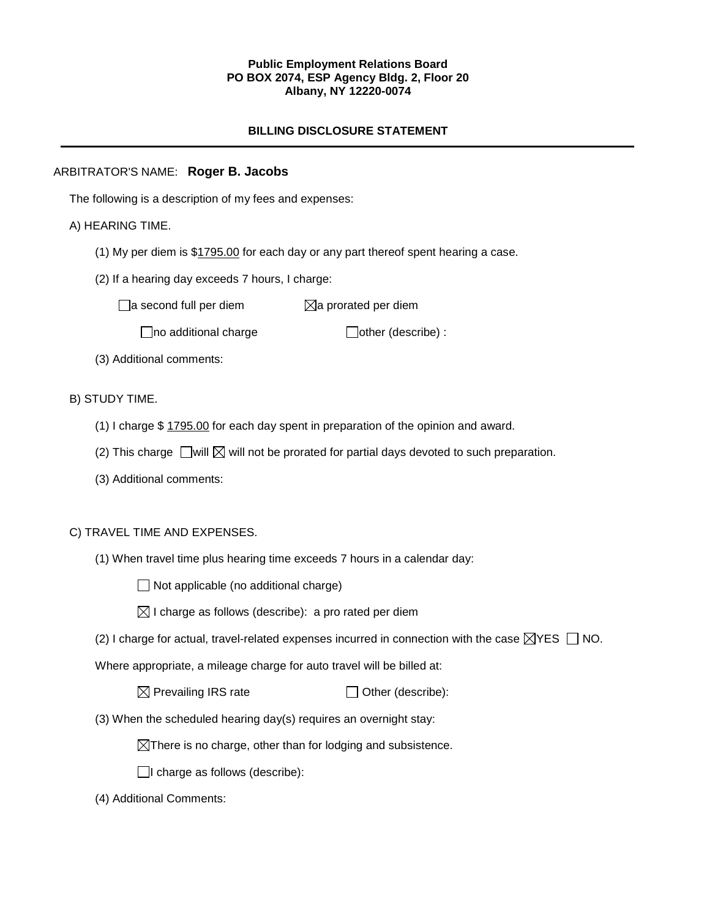## **Public Employment Relations Board PO BOX 2074, ESP Agency Bldg. 2, Floor 20 Albany, NY 12220-0074**

# **BILLING DISCLOSURE STATEMENT**

## ARBITRATOR'S NAME: **Roger B. Jacobs**

The following is a description of my fees and expenses:

## A) HEARING TIME.

- (1) My per diem is \$1795.00 for each day or any part thereof spent hearing a case.
- (2) If a hearing day exceeds 7 hours, I charge:

 $\Box$ a second full per diem  $\Box$ a prorated per diem

 $\Box$ no additional charge  $\Box$ other (describe) :

(3) Additional comments:

## B) STUDY TIME.

- (1) I charge \$ 1795.00 for each day spent in preparation of the opinion and award.
- (2) This charge  $\Box$  will  $\boxtimes$  will not be prorated for partial days devoted to such preparation.
- (3) Additional comments:

## C) TRAVEL TIME AND EXPENSES.

(1) When travel time plus hearing time exceeds 7 hours in a calendar day:

 $\Box$  Not applicable (no additional charge)

| $\boxtimes$ I charge as follows (describe): a pro rated per diem |  |  |  |
|------------------------------------------------------------------|--|--|--|
|------------------------------------------------------------------|--|--|--|

(2) I charge for actual, travel-related expenses incurred in connection with the case  $\boxtimes$ YES  $\Box$  NO.

Where appropriate, a mileage charge for auto travel will be billed at:

 $\boxtimes$  Prevailing IRS rate  $\Box$  Other (describe):

(3) When the scheduled hearing day(s) requires an overnight stay:

 $\boxtimes$ There is no charge, other than for lodging and subsistence.

 $\Box$ I charge as follows (describe):

(4) Additional Comments: